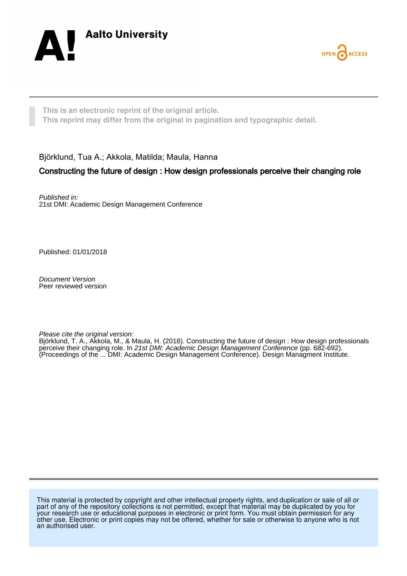



**This is an electronic reprint of the original article. This reprint may differ from the original in pagination and typographic detail.**

Björklund, Tua A.; Akkola, Matilda; Maula, Hanna

# Constructing the future of design : How design professionals perceive their changing role

Published in: 21st DMI: Academic Design Management Conference

Published: 01/01/2018

Document Version Peer reviewed version

Please cite the original version:

Björklund, T. A., Akkola, M., & Maula, H. (2018). Constructing the future of design : How design professionals perceive their changing role. In 21st DMI: Academic Design Management Conference (pp. 682-692). (Proceedings of the ... DMI: Academic Design Management Conference). Design Managment Institute.

This material is protected by copyright and other intellectual property rights, and duplication or sale of all or part of any of the repository collections is not permitted, except that material may be duplicated by you for your research use or educational purposes in electronic or print form. You must obtain permission for any other use. Electronic or print copies may not be offered, whether for sale or otherwise to anyone who is not an authorised user.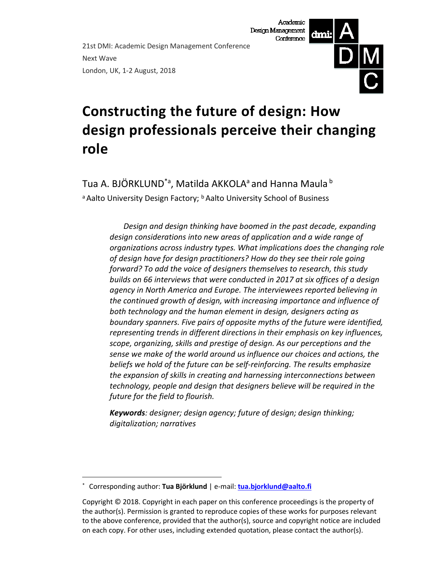21st DMI: Academic Design Management Conference Next Wave London, UK, 1-2 August, 2018



# **Constructing the future of design: How design professionals perceive their changing role**

Tua A. BJÖRKLUND<sup>\*a</sup>, Matilda AKKOLA<sup>a</sup> and Hanna Maula <sup>b</sup> a Aalto University Design Factory; **b** Aalto University School of Business

> *Design and design thinking have boomed in the past decade, expanding design considerations into new areas of application and a wide range of organizations across industry types. What implications does the changing role of design have for design practitioners? How do they see their role going forward? To add the voice of designers themselves to research, this study builds on 66 interviews that were conducted in 2017 at six offices of a design agency in North America and Europe. The interviewees reported believing in the continued growth of design, with increasing importance and influence of both technology and the human element in design, designers acting as boundary spanners. Five pairs of opposite myths of the future were identified, representing trends in different directions in their emphasis on key influences, scope, organizing, skills and prestige of design. As our perceptions and the sense we make of the world around us influence our choices and actions, the beliefs we hold of the future can be self-reinforcing. The results emphasize the expansion of skills in creating and harnessing interconnections between technology, people and design that designers believe will be required in the future for the field to flourish.*

*Keywords: designer; design agency; future of design; design thinking; digitalization; narratives*

 <sup>\*</sup> Corresponding author: **Tua Björklund** | e-mail: **[tua.bjorklund@aalto.fi](mailto:tua.bjorklund@aalto.fi)**

Copyright © 2018. Copyright in each paper on this conference proceedings is the property of the author(s). Permission is granted to reproduce copies of these works for purposes relevant to the above conference, provided that the author(s), source and copyright notice are included on each copy. For other uses, including extended quotation, please contact the author(s).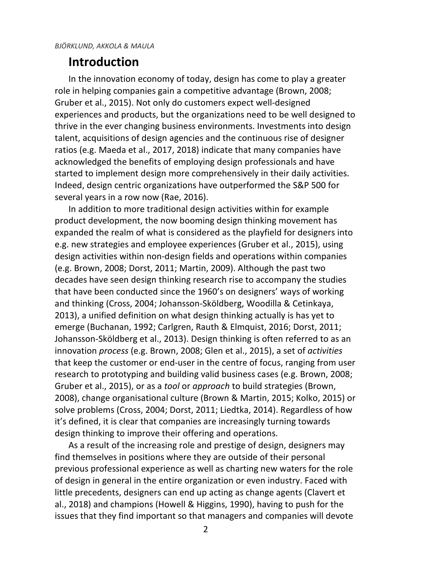### **Introduction**

In the innovation economy of today, design has come to play a greater role in helping companies gain a competitive advantage (Brown, 2008; Gruber et al., 2015). Not only do customers expect well-designed experiences and products, but the organizations need to be well designed to thrive in the ever changing business environments. Investments into design talent, acquisitions of design agencies and the continuous rise of designer ratios (e.g. Maeda et al., 2017, 2018) indicate that many companies have acknowledged the benefits of employing design professionals and have started to implement design more comprehensively in their daily activities. Indeed, design centric organizations have outperformed the S&P 500 for several years in a row now (Rae, 2016).

In addition to more traditional design activities within for example product development, the now booming design thinking movement has expanded the realm of what is considered as the playfield for designers into e.g. new strategies and employee experiences (Gruber et al., 2015), using design activities within non-design fields and operations within companies (e.g. Brown, 2008; Dorst, 2011; Martin, 2009). Although the past two decades have seen design thinking research rise to accompany the studies that have been conducted since the 1960's on designers' ways of working and thinking (Cross, 2004; Johansson-Sköldberg, Woodilla & Cetinkaya, 2013), a unified definition on what design thinking actually is has yet to emerge (Buchanan, 1992; Carlgren, Rauth & Elmquist, 2016; Dorst, 2011; Johansson-Sköldberg et al., 2013). Design thinking is often referred to as an innovation *process* (e.g. Brown, 2008; Glen et al., 2015), a set of *activities* that keep the customer or end-user in the centre of focus, ranging from user research to prototyping and building valid business cases (e.g. Brown, 2008; Gruber et al., 2015), or as a *tool* or *approach* to build strategies (Brown, 2008), change organisational culture (Brown & Martin, 2015; Kolko, 2015) or solve problems (Cross, 2004; Dorst, 2011; Liedtka, 2014). Regardless of how it's defined, it is clear that companies are increasingly turning towards design thinking to improve their offering and operations.

As a result of the increasing role and prestige of design, designers may find themselves in positions where they are outside of their personal previous professional experience as well as charting new waters for the role of design in general in the entire organization or even industry. Faced with little precedents, designers can end up acting as change agents (Clavert et al., 2018) and champions (Howell & Higgins, 1990), having to push for the issues that they find important so that managers and companies will devote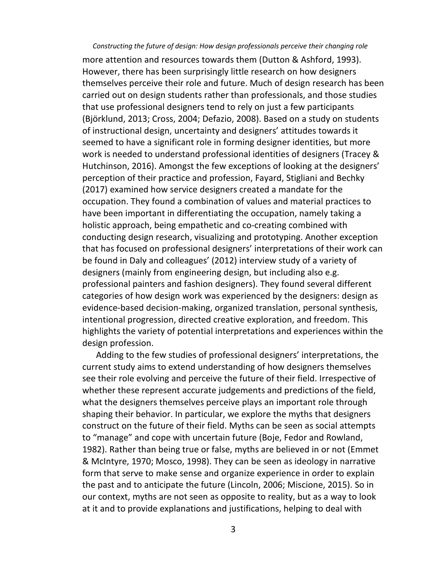more attention and resources towards them (Dutton & Ashford, 1993). However, there has been surprisingly little research on how designers themselves perceive their role and future. Much of design research has been carried out on design students rather than professionals, and those studies that use professional designers tend to rely on just a few participants (Björklund, 2013; Cross, 2004; Defazio, 2008). Based on a study on students of instructional design, uncertainty and designers' attitudes towards it seemed to have a significant role in forming designer identities, but more work is needed to understand professional identities of designers (Tracey & Hutchinson, 2016). Amongst the few exceptions of looking at the designers' perception of their practice and profession, Fayard, Stigliani and Bechky (2017) examined how service designers created a mandate for the occupation. They found a combination of values and material practices to have been important in differentiating the occupation, namely taking a holistic approach, being empathetic and co-creating combined with conducting design research, visualizing and prototyping. Another exception that has focused on professional designers' interpretations of their work can be found in Daly and colleagues' (2012) interview study of a variety of designers (mainly from engineering design, but including also e.g. professional painters and fashion designers). They found several different categories of how design work was experienced by the designers: design as evidence-based decision-making, organized translation, personal synthesis, intentional progression, directed creative exploration, and freedom. This highlights the variety of potential interpretations and experiences within the design profession.

Adding to the few studies of professional designers' interpretations, the current study aims to extend understanding of how designers themselves see their role evolving and perceive the future of their field. Irrespective of whether these represent accurate judgements and predictions of the field, what the designers themselves perceive plays an important role through shaping their behavior. In particular, we explore the myths that designers construct on the future of their field. Myths can be seen as social attempts to "manage" and cope with uncertain future (Boje, Fedor and Rowland, 1982). Rather than being true or false, myths are believed in or not (Emmet & McIntyre, 1970; Mosco, 1998). They can be seen as ideology in narrative form that serve to make sense and organize experience in order to explain the past and to anticipate the future (Lincoln, 2006; Miscione, 2015). So in our context, myths are not seen as opposite to reality, but as a way to look at it and to provide explanations and justifications, helping to deal with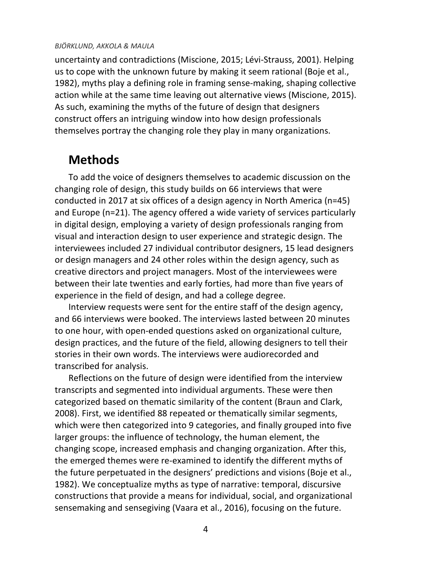uncertainty and contradictions (Miscione, 2015; Lévi-Strauss, 2001). Helping us to cope with the unknown future by making it seem rational (Boje et al., 1982), myths play a defining role in framing sense-making, shaping collective action while at the same time leaving out alternative views (Miscione, 2015). As such, examining the myths of the future of design that designers construct offers an intriguing window into how design professionals themselves portray the changing role they play in many organizations.

### **Methods**

To add the voice of designers themselves to academic discussion on the changing role of design, this study builds on 66 interviews that were conducted in 2017 at six offices of a design agency in North America (n=45) and Europe (n=21). The agency offered a wide variety of services particularly in digital design, employing a variety of design professionals ranging from visual and interaction design to user experience and strategic design. The interviewees included 27 individual contributor designers, 15 lead designers or design managers and 24 other roles within the design agency, such as creative directors and project managers. Most of the interviewees were between their late twenties and early forties, had more than five years of experience in the field of design, and had a college degree.

Interview requests were sent for the entire staff of the design agency, and 66 interviews were booked. The interviews lasted between 20 minutes to one hour, with open-ended questions asked on organizational culture, design practices, and the future of the field, allowing designers to tell their stories in their own words. The interviews were audiorecorded and transcribed for analysis.

Reflections on the future of design were identified from the interview transcripts and segmented into individual arguments. These were then categorized based on thematic similarity of the content (Braun and Clark, 2008). First, we identified 88 repeated or thematically similar segments, which were then categorized into 9 categories, and finally grouped into five larger groups: the influence of technology, the human element, the changing scope, increased emphasis and changing organization. After this, the emerged themes were re-examined to identify the different myths of the future perpetuated in the designers' predictions and visions (Boje et al., 1982). We conceptualize myths as type of narrative: temporal, discursive constructions that provide a means for individual, social, and organizational sensemaking and sensegiving (Vaara et al., 2016), focusing on the future.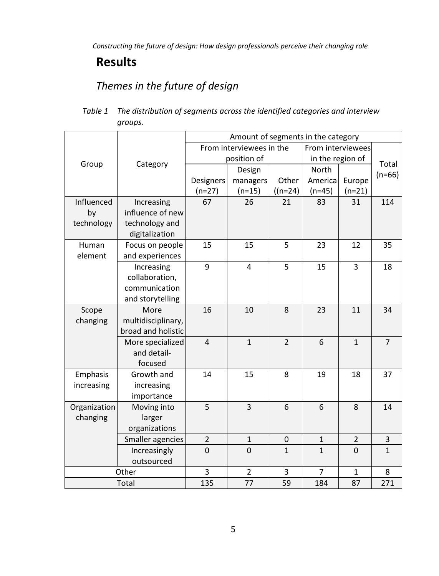# **Results**

# *Themes in the future of design*

| Table 1 The distribution of segments across the identified categories and interview |
|-------------------------------------------------------------------------------------|
| groups.                                                                             |

|              |                    | Amount of segments in the category |                |                |                   |                |                |
|--------------|--------------------|------------------------------------|----------------|----------------|-------------------|----------------|----------------|
|              |                    | From interviewees in the           |                |                | From interviewees |                |                |
| Group        |                    | position of                        |                |                | in the region of  |                | Total          |
|              | Category           |                                    | Design         |                | North             |                | $(n=66)$       |
|              |                    | Designers                          | managers       | Other          | Americal          | Europe         |                |
|              |                    | $(n=27)$                           | $(n=15)$       | $((n=24))$     | $(n=45)$          | $(n=21)$       |                |
| Influenced   | Increasing         | 67                                 | 26             | 21             | 83                | 31             | 114            |
| by           | influence of new   |                                    |                |                |                   |                |                |
| technology   | technology and     |                                    |                |                |                   |                |                |
|              | digitalization     |                                    |                |                |                   |                |                |
| Human        | Focus on people    | 15                                 | 15             | 5              | 23                | 12             | 35             |
| element      | and experiences    |                                    |                |                |                   |                |                |
|              | Increasing         | 9                                  | $\overline{4}$ | 5              | 15                | 3              | 18             |
|              | collaboration,     |                                    |                |                |                   |                |                |
|              | communication      |                                    |                |                |                   |                |                |
|              | and storytelling   |                                    |                |                |                   |                |                |
| Scope        | More               | 16                                 | 10             | 8              | 23                | 11             | 34             |
| changing     | multidisciplinary, |                                    |                |                |                   |                |                |
|              | broad and holistic |                                    |                |                |                   |                |                |
|              | More specialized   | $\overline{4}$                     | $\mathbf{1}$   | $\overline{2}$ | 6                 | $\mathbf{1}$   | $\overline{7}$ |
|              | and detail-        |                                    |                |                |                   |                |                |
|              | focused            |                                    |                |                |                   |                |                |
| Emphasis     | Growth and         | 14                                 | 15             | 8              | 19                | 18             | 37             |
| increasing   | increasing         |                                    |                |                |                   |                |                |
|              | importance         |                                    |                |                |                   |                |                |
| Organization | Moving into        | 5                                  | 3              | 6              | 6                 | 8              | 14             |
| changing     | larger             |                                    |                |                |                   |                |                |
|              | organizations      |                                    |                |                |                   |                |                |
|              | Smaller agencies   | $\overline{2}$                     | $\mathbf{1}$   | $\mathbf{0}$   | $\mathbf{1}$      | $\overline{2}$ | $\overline{3}$ |
|              | Increasingly       | $\Omega$                           | $\Omega$       | $\mathbf{1}$   | $\mathbf{1}$      | $\Omega$       | $\mathbf{1}$   |
|              | outsourced         |                                    |                |                |                   |                |                |
|              | Other              | 3                                  | $\overline{2}$ | 3              | $\overline{7}$    | $\mathbf{1}$   | 8              |
|              | Total              | 135                                | 77             | 59             | 184               | 87             | 271            |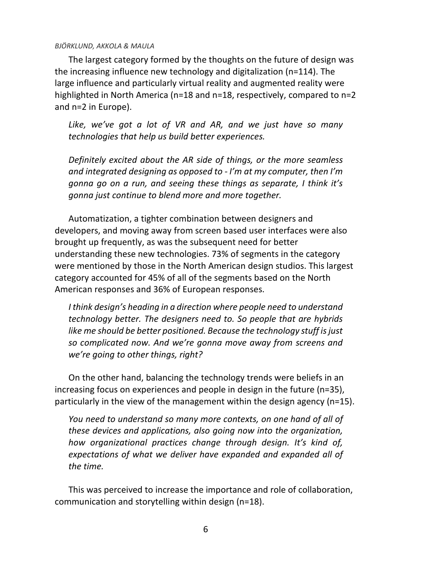The largest category formed by the thoughts on the future of design was the increasing influence new technology and digitalization (n=114). The large influence and particularly virtual reality and augmented reality were highlighted in North America (n=18 and n=18, respectively, compared to n=2 and n=2 in Europe).

*Like, we've got a lot of VR and AR, and we just have so many technologies that help us build better experiences.*

*Definitely excited about the AR side of things, or the more seamless and integrated designing as opposed to - I'm at my computer, then I'm gonna go on a run, and seeing these things as separate, I think it's gonna just continue to blend more and more together.*

Automatization, a tighter combination between designers and developers, and moving away from screen based user interfaces were also brought up frequently, as was the subsequent need for better understanding these new technologies. 73% of segments in the category were mentioned by those in the North American design studios. This largest category accounted for 45% of all of the segments based on the North American responses and 36% of European responses.

*I think design's heading in a direction where people need to understand technology better. The designers need to. So people that are hybrids like me should be better positioned. Because the technology stuff is just so complicated now. And we're gonna move away from screens and we're going to other things, right?*

On the other hand, balancing the technology trends were beliefs in an increasing focus on experiences and people in design in the future (n=35), particularly in the view of the management within the design agency (n=15).

*You need to understand so many more contexts, on one hand of all of these devices and applications, also going now into the organization, how organizational practices change through design. It's kind of, expectations of what we deliver have expanded and expanded all of the time.* 

This was perceived to increase the importance and role of collaboration, communication and storytelling within design (n=18).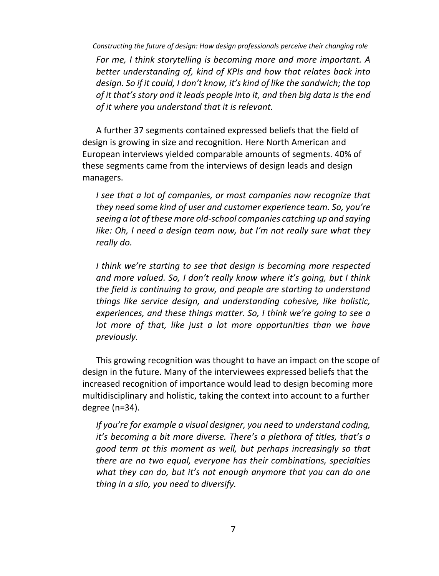*For me, I think storytelling is becoming more and more important. A better understanding of, kind of KPIs and how that relates back into design. So if it could, I don't know, it's kind of like the sandwich; the top of it that's story and it leads people into it, and then big data is the end of it where you understand that it is relevant.*

A further 37 segments contained expressed beliefs that the field of design is growing in size and recognition. Here North American and European interviews yielded comparable amounts of segments. 40% of these segments came from the interviews of design leads and design managers.

*I* see that a lot of companies, or most companies now recognize that *they need some kind of user and customer experience team. So, you're seeing a lot of these more old-school companies catching up and saying like: Oh, I need a design team now, but I'm not really sure what they really do.*

*I think we're starting to see that design is becoming more respected and more valued. So, I don't really know where it's going, but I think the field is continuing to grow, and people are starting to understand things like service design, and understanding cohesive, like holistic, experiences, and these things matter. So, I think we're going to see a lot more of that, like just a lot more opportunities than we have previously.* 

This growing recognition was thought to have an impact on the scope of design in the future. Many of the interviewees expressed beliefs that the increased recognition of importance would lead to design becoming more multidisciplinary and holistic, taking the context into account to a further degree (n=34).

*If you're for example a visual designer, you need to understand coding, it's becoming a bit more diverse. There's a plethora of titles, that's a good term at this moment as well, but perhaps increasingly so that there are no two equal, everyone has their combinations, specialties what they can do, but it's not enough anymore that you can do one thing in a silo, you need to diversify.*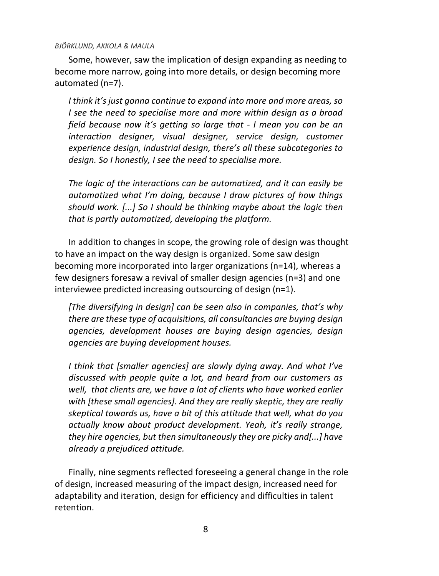Some, however, saw the implication of design expanding as needing to become more narrow, going into more details, or design becoming more automated (n=7).

*I think it's just gonna continue to expand into more and more areas, so I see the need to specialise more and more within design as a broad field because now it's getting so large that - I mean you can be an interaction designer, visual designer, service design, customer experience design, industrial design, there's all these subcategories to design. So I honestly, I see the need to specialise more.*

*The logic of the interactions can be automatized, and it can easily be automatized what I'm doing, because I draw pictures of how things should work. [...] So I should be thinking maybe about the logic then that is partly automatized, developing the platform.*

In addition to changes in scope, the growing role of design was thought to have an impact on the way design is organized. Some saw design becoming more incorporated into larger organizations (n=14), whereas a few designers foresaw a revival of smaller design agencies (n=3) and one interviewee predicted increasing outsourcing of design (n=1).

*[The diversifying in design] can be seen also in companies, that's why there are these type of acquisitions, all consultancies are buying design agencies, development houses are buying design agencies, design agencies are buying development houses.*

*I think that [smaller agencies] are slowly dying away. And what I've discussed with people quite a lot, and heard from our customers as well, that clients are, we have a lot of clients who have worked earlier with [these small agencies]. And they are really skeptic, they are really skeptical towards us, have a bit of this attitude that well, what do you actually know about product development. Yeah, it's really strange, they hire agencies, but then simultaneously they are picky and[...] have already a prejudiced attitude.* 

Finally, nine segments reflected foreseeing a general change in the role of design, increased measuring of the impact design, increased need for adaptability and iteration, design for efficiency and difficulties in talent retention.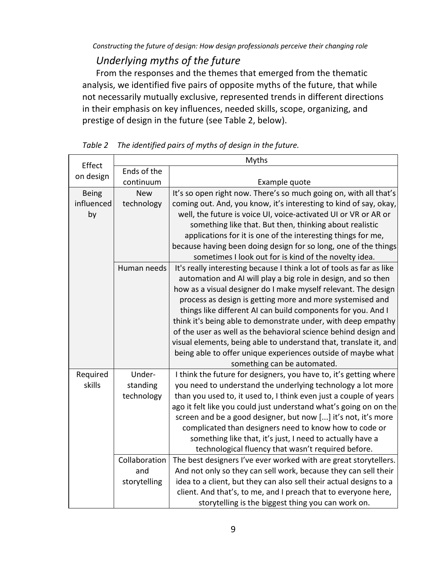### *Underlying myths of the future*

From the responses and the themes that emerged from the thematic analysis, we identified five pairs of opposite myths of the future, that while not necessarily mutually exclusive, represented trends in different directions in their emphasis on key influences, needed skills, scope, organizing, and prestige of design in the future (see Table 2, below).

|              |               | Myths                                                                 |  |  |  |  |
|--------------|---------------|-----------------------------------------------------------------------|--|--|--|--|
| Effect       | Ends of the   |                                                                       |  |  |  |  |
| on design    | continuum     | Example quote                                                         |  |  |  |  |
| <b>Being</b> | <b>New</b>    | It's so open right now. There's so much going on, with all that's     |  |  |  |  |
| influenced   | technology    | coming out. And, you know, it's interesting to kind of say, okay,     |  |  |  |  |
| by           |               | well, the future is voice UI, voice-activated UI or VR or AR or       |  |  |  |  |
|              |               | something like that. But then, thinking about realistic               |  |  |  |  |
|              |               | applications for it is one of the interesting things for me,          |  |  |  |  |
|              |               | because having been doing design for so long, one of the things       |  |  |  |  |
|              |               | sometimes I look out for is kind of the novelty idea.                 |  |  |  |  |
|              | Human needs   | It's really interesting because I think a lot of tools as far as like |  |  |  |  |
|              |               | automation and AI will play a big role in design, and so then         |  |  |  |  |
|              |               | how as a visual designer do I make myself relevant. The design        |  |  |  |  |
|              |               | process as design is getting more and more systemised and             |  |  |  |  |
|              |               | things like different AI can build components for you. And I          |  |  |  |  |
|              |               | think it's being able to demonstrate under, with deep empathy         |  |  |  |  |
|              |               | of the user as well as the behavioral science behind design and       |  |  |  |  |
|              |               | visual elements, being able to understand that, translate it, and     |  |  |  |  |
|              |               | being able to offer unique experiences outside of maybe what          |  |  |  |  |
|              |               | something can be automated.                                           |  |  |  |  |
| Required     | Under-        | I think the future for designers, you have to, it's getting where     |  |  |  |  |
| skills       | standing      | you need to understand the underlying technology a lot more           |  |  |  |  |
|              | technology    | than you used to, it used to, I think even just a couple of years     |  |  |  |  |
|              |               | ago it felt like you could just understand what's going on on the     |  |  |  |  |
|              |               | screen and be a good designer, but now [] it's not, it's more         |  |  |  |  |
|              |               | complicated than designers need to know how to code or                |  |  |  |  |
|              |               | something like that, it's just, I need to actually have a             |  |  |  |  |
|              |               | technological fluency that wasn't required before.                    |  |  |  |  |
|              | Collaboration | The best designers I've ever worked with are great storytellers.      |  |  |  |  |
|              | and           | And not only so they can sell work, because they can sell their       |  |  |  |  |
|              | storytelling  | idea to a client, but they can also sell their actual designs to a    |  |  |  |  |
|              |               | client. And that's, to me, and I preach that to everyone here,        |  |  |  |  |
|              |               | storytelling is the biggest thing you can work on.                    |  |  |  |  |

*Table 2 The identified pairs of myths of design in the future.*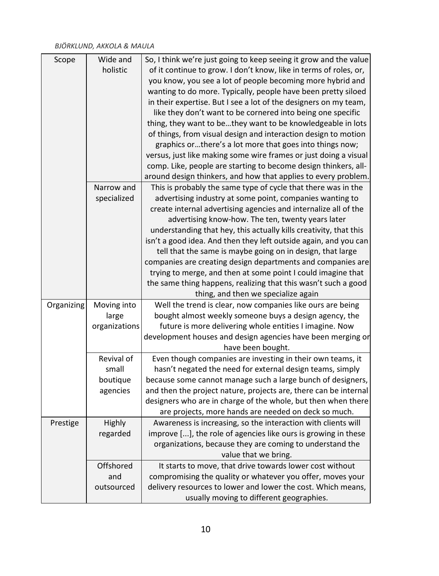| So, I think we're just going to keep seeing it grow and the value<br>Scope<br>Wide and                                                                  |  |
|---------------------------------------------------------------------------------------------------------------------------------------------------------|--|
| holistic<br>of it continue to grow. I don't know, like in terms of roles, or,                                                                           |  |
| you know, you see a lot of people becoming more hybrid and                                                                                              |  |
| wanting to do more. Typically, people have been pretty siloed                                                                                           |  |
| in their expertise. But I see a lot of the designers on my team,                                                                                        |  |
| like they don't want to be cornered into being one specific                                                                                             |  |
| thing, they want to bethey want to be knowledgeable in lots                                                                                             |  |
| of things, from visual design and interaction design to motion                                                                                          |  |
| graphics orthere's a lot more that goes into things now;                                                                                                |  |
| versus, just like making some wire frames or just doing a visual                                                                                        |  |
| comp. Like, people are starting to become design thinkers, all-                                                                                         |  |
| around design thinkers, and how that applies to every problem.                                                                                          |  |
| Narrow and<br>This is probably the same type of cycle that there was in the                                                                             |  |
| specialized<br>advertising industry at some point, companies wanting to                                                                                 |  |
| create internal advertising agencies and internalize all of the                                                                                         |  |
| advertising know-how. The ten, twenty years later                                                                                                       |  |
| understanding that hey, this actually kills creativity, that this                                                                                       |  |
| isn't a good idea. And then they left outside again, and you can                                                                                        |  |
| tell that the same is maybe going on in design, that large                                                                                              |  |
| companies are creating design departments and companies are                                                                                             |  |
| trying to merge, and then at some point I could imagine that                                                                                            |  |
| the same thing happens, realizing that this wasn't such a good                                                                                          |  |
| thing, and then we specialize again                                                                                                                     |  |
| Moving into<br>Well the trend is clear, now companies like ours are being<br>Organizing                                                                 |  |
| bought almost weekly someone buys a design agency, the<br>large                                                                                         |  |
| organizations<br>future is more delivering whole entities I imagine. Now                                                                                |  |
| development houses and design agencies have been merging or                                                                                             |  |
| have been bought.                                                                                                                                       |  |
| Revival of<br>Even though companies are investing in their own teams, it                                                                                |  |
| small<br>hasn't negated the need for external design teams, simply                                                                                      |  |
| boutique<br>because some cannot manage such a large bunch of designers,                                                                                 |  |
| agencies<br>and then the project nature, projects are, there can be internal                                                                            |  |
| designers who are in charge of the whole, but then when there                                                                                           |  |
| are projects, more hands are needed on deck so much.<br>Highly                                                                                          |  |
| Awareness is increasing, so the interaction with clients will<br>Prestige<br>regarded<br>improve [], the role of agencies like ours is growing in these |  |
| organizations, because they are coming to understand the                                                                                                |  |
| value that we bring.                                                                                                                                    |  |
| Offshored<br>It starts to move, that drive towards lower cost without                                                                                   |  |
|                                                                                                                                                         |  |
|                                                                                                                                                         |  |
| and<br>compromising the quality or whatever you offer, moves your<br>delivery resources to lower and lower the cost. Which means,<br>outsourced         |  |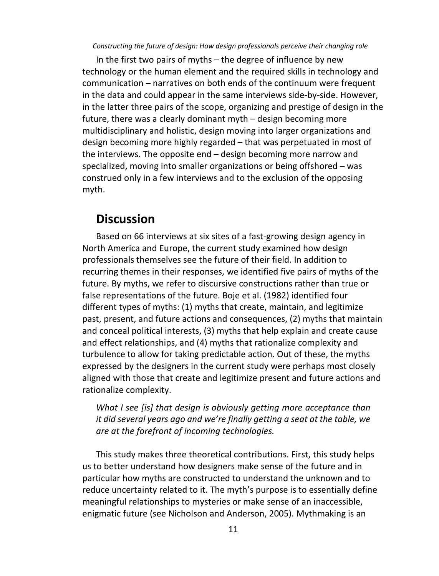In the first two pairs of myths – the degree of influence by new technology or the human element and the required skills in technology and communication – narratives on both ends of the continuum were frequent in the data and could appear in the same interviews side-by-side. However, in the latter three pairs of the scope, organizing and prestige of design in the future, there was a clearly dominant myth – design becoming more multidisciplinary and holistic, design moving into larger organizations and design becoming more highly regarded – that was perpetuated in most of the interviews. The opposite end – design becoming more narrow and specialized, moving into smaller organizations or being offshored – was construed only in a few interviews and to the exclusion of the opposing myth.

### **Discussion**

Based on 66 interviews at six sites of a fast-growing design agency in North America and Europe, the current study examined how design professionals themselves see the future of their field. In addition to recurring themes in their responses, we identified five pairs of myths of the future. By myths, we refer to discursive constructions rather than true or false representations of the future. Boje et al. (1982) identified four different types of myths: (1) myths that create, maintain, and legitimize past, present, and future actions and consequences, (2) myths that maintain and conceal political interests, (3) myths that help explain and create cause and effect relationships, and (4) myths that rationalize complexity and turbulence to allow for taking predictable action. Out of these, the myths expressed by the designers in the current study were perhaps most closely aligned with those that create and legitimize present and future actions and rationalize complexity.

*What I see [is] that design is obviously getting more acceptance than it did several years ago and we're finally getting a seat at the table, we are at the forefront of incoming technologies.* 

This study makes three theoretical contributions. First, this study helps us to better understand how designers make sense of the future and in particular how myths are constructed to understand the unknown and to reduce uncertainty related to it. The myth's purpose is to essentially define meaningful relationships to mysteries or make sense of an inaccessible, enigmatic future (see Nicholson and Anderson, 2005). Mythmaking is an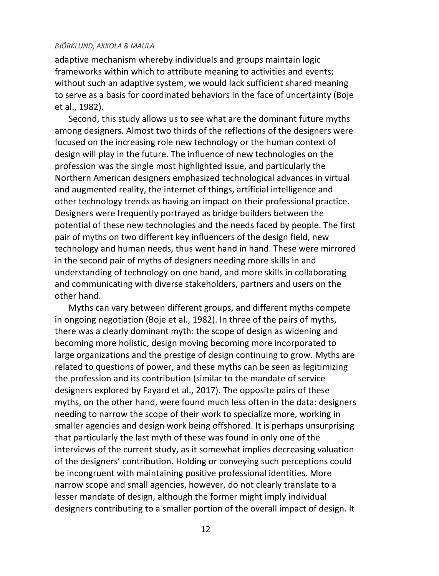adaptive mechanism whereby individuals and groups maintain logic frameworks within which to attribute meaning to activities and events; without such an adaptive system, we would lack sufficient shared meaning to serve as a basis for coordinated behaviors in the face of uncertainty (Boje et al., 1982).

Second, this study allows us to see what are the dominant future myths among designers. Almost two thirds of the reflections of the designers were focused on the increasing role new technology or the human context of design will play in the future. The influence of new technologies on the profession was the single most highlighted issue, and particularly the Northern American designers emphasized technological advances in virtual and augmented reality, the internet of things, artificial intelligence and other technology trends as having an impact on their professional practice. Designers were frequently portrayed as bridge builders between the potential of these new technologies and the needs faced by people. The first pair of myths on two different key influencers of the design field, new technology and human needs, thus went hand in hand. These were mirrored in the second pair of myths of designers needing more skills in and understanding of technology on one hand, and more skills in collaborating and communicating with diverse stakeholders, partners and users on the other hand.

Myths can vary between different groups, and different myths compete in ongoing negotiation (Boje et al., 1982). In three of the pairs of myths, there was a clearly dominant myth: the scope of design as widening and becoming more holistic, design moving becoming more incorporated to large organizations and the prestige of design continuing to grow. Myths are related to questions of power, and these myths can be seen as legitimizing the profession and its contribution (similar to the mandate of service designers explored by Fayard et al., 2017). The opposite pairs of these myths, on the other hand, were found much less often in the data: designers needing to narrow the scope of their work to specialize more, working in smaller agencies and design work being offshored. It is perhaps unsurprising that particularly the last myth of these was found in only one of the interviews of the current study, as it somewhat implies decreasing valuation of the designers' contribution. Holding or conveying such perceptions could be incongruent with maintaining positive professional identities. More narrow scope and small agencies, however, do not clearly translate to a lesser mandate of design, although the former might imply individual designers contributing to a smaller portion of the overall impact of design. It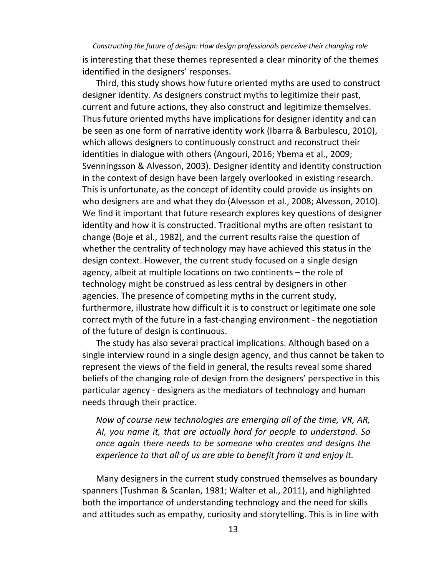is interesting that these themes represented a clear minority of the themes identified in the designers' responses.

Third, this study shows how future oriented myths are used to construct designer identity. As designers construct myths to legitimize their past, current and future actions, they also construct and legitimize themselves. Thus future oriented myths have implications for designer identity and can be seen as one form of narrative identity work (Ibarra & Barbulescu, 2010), which allows designers to continuously construct and reconstruct their identities in dialogue with others (Angouri, 2016; Ybema et al., 2009; Svenningsson & Alvesson, 2003). Designer identity and identity construction in the context of design have been largely overlooked in existing research. This is unfortunate, as the concept of identity could provide us insights on who designers are and what they do (Alvesson et al., 2008; Alvesson, 2010). We find it important that future research explores key questions of designer identity and how it is constructed. Traditional myths are often resistant to change (Boje et al., 1982), and the current results raise the question of whether the centrality of technology may have achieved this status in the design context. However, the current study focused on a single design agency, albeit at multiple locations on two continents – the role of technology might be construed as less central by designers in other agencies. The presence of competing myths in the current study, furthermore, illustrate how difficult it is to construct or legitimate one sole correct myth of the future in a fast-changing environment - the negotiation of the future of design is continuous.

The study has also several practical implications. Although based on a single interview round in a single design agency, and thus cannot be taken to represent the views of the field in general, the results reveal some shared beliefs of the changing role of design from the designers' perspective in this particular agency - designers as the mediators of technology and human needs through their practice.

*Now of course new technologies are emerging all of the time, VR, AR, AI, you name it, that are actually hard for people to understand. So once again there needs to be someone who creates and designs the experience to that all of us are able to benefit from it and enjoy it.*

Many designers in the current study construed themselves as boundary spanners (Tushman & Scanlan, 1981; Walter et al., 2011), and highlighted both the importance of understanding technology and the need for skills and attitudes such as empathy, curiosity and storytelling. This is in line with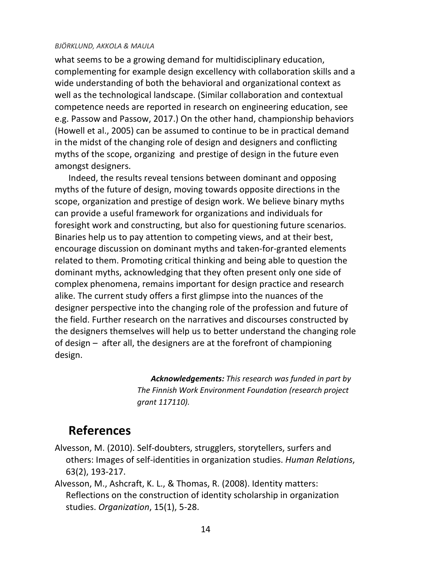what seems to be a growing demand for multidisciplinary education, complementing for example design excellency with collaboration skills and a wide understanding of both the behavioral and organizational context as well as the technological landscape. (Similar collaboration and contextual competence needs are reported in research on engineering education, see e.g. Passow and Passow, 2017.) On the other hand, championship behaviors (Howell et al., 2005) can be assumed to continue to be in practical demand in the midst of the changing role of design and designers and conflicting myths of the scope, organizing and prestige of design in the future even amongst designers.

Indeed, the results reveal tensions between dominant and opposing myths of the future of design, moving towards opposite directions in the scope, organization and prestige of design work. We believe binary myths can provide a useful framework for organizations and individuals for foresight work and constructing, but also for questioning future scenarios. Binaries help us to pay attention to competing views, and at their best, encourage discussion on dominant myths and taken-for-granted elements related to them. Promoting critical thinking and being able to question the dominant myths, acknowledging that they often present only one side of complex phenomena, remains important for design practice and research alike. The current study offers a first glimpse into the nuances of the designer perspective into the changing role of the profession and future of the field. Further research on the narratives and discourses constructed by the designers themselves will help us to better understand the changing role of design – after all, the designers are at the forefront of championing design.

> *Acknowledgements: This research was funded in part by The Finnish Work Environment Foundation (research project grant 117110).*

## **References**

- Alvesson, M. (2010). Self-doubters, strugglers, storytellers, surfers and others: Images of self-identities in organization studies. *Human Relations*, 63(2), 193-217.
- Alvesson, M., Ashcraft, K. L., & Thomas, R. (2008). Identity matters: Reflections on the construction of identity scholarship in organization studies. *Organization*, 15(1), 5-28.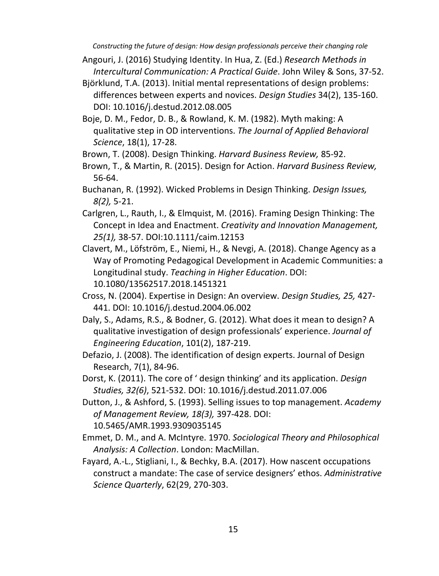- Angouri, J. (2016) Studying Identity. In Hua, Z. (Ed.) *Research Methods in Intercultural Communication: A Practical Guide*. John Wiley & Sons, 37-52.
- Björklund, T.A. (2013). Initial mental representations of design problems: differences between experts and novices. *Design Studies* 34(2), 135-160. DOI: 10.1016/j.destud.2012.08.005
- Boje, D. M., Fedor, D. B., & Rowland, K. M. (1982). Myth making: A qualitative step in OD interventions. *The Journal of Applied Behavioral Science*, 18(1), 17-28.
- Brown, T. (2008). Design Thinking. *Harvard Business Review,* 85-92.
- Brown, T., & Martin, R. (2015). Design for Action. *Harvard Business Review,*  56-64.
- Buchanan, R. (1992). Wicked Problems in Design Thinking. *Design Issues, 8(2),* 5-21.
- Carlgren, L., Rauth, I., & Elmquist, M. (2016). Framing Design Thinking: The Concept in Idea and Enactment. *Creativity and Innovation Management, 25(1),* 38-57. DOI:10.1111/caim.12153
- Clavert, M., Löfström, E., Niemi, H., & Nevgi, A. (2018). Change Agency as a Way of Promoting Pedagogical Development in Academic Communities: a Longitudinal study. *Teaching in Higher Education*. DOI: 10.1080/13562517.2018.1451321
- Cross, N. (2004). Expertise in Design: An overview. *Design Studies, 25,* 427- 441. DOI: 10.1016/j.destud.2004.06.002
- Daly, S., Adams, R.S., & Bodner, G. (2012). What does it mean to design? A qualitative investigation of design professionals' experience. *Journal of Engineering Education*, 101(2), 187-219.
- Defazio, J. (2008). The identification of design experts. Journal of Design Research, 7(1), 84-96.
- Dorst, K. (2011). The core of ' design thinking' and its application. *Design Studies, 32(6)*, 521-532. DOI: 10.1016/j.destud.2011.07.006
- Dutton, J., & Ashford, S. (1993). Selling issues to top management. *Academy of Management Review, 18(3),* 397-428. DOI: 10.5465/AMR.1993.9309035145
- Emmet, D. M., and A. McIntyre. 1970. *Sociological Theory and Philosophical Analysis: A Collection*. London: MacMillan.
- Fayard, A.-L., Stigliani, I., & Bechky, B.A. (2017). How nascent occupations construct a mandate: The case of service designers' ethos. *Administrative Science Quarterly*, 62(29, 270-303.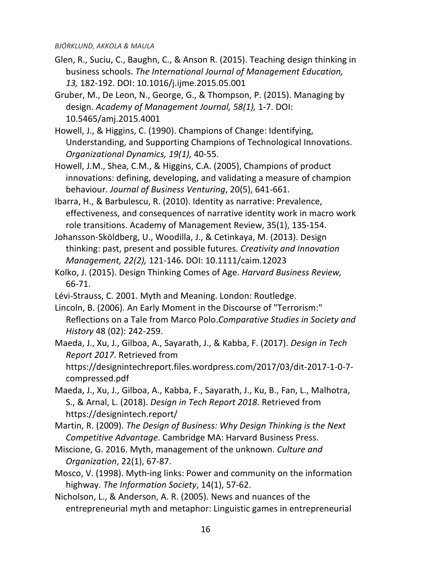- Glen, R., Suciu, C., Baughn, C., & Anson R. (2015). Teaching design thinking in business schools. *The International Journal of Management Education, 13,* 182-192. DOI: 10.1016/j.ijme.2015.05.001
- Gruber, M., De Leon, N., George, G., & Thompson, P. (2015). Managing by design. *Academy of Management Journal, 58(1),* 1-7. DOI: 10.5465/amj.2015.4001
- Howell, J., & Higgins, C. (1990). Champions of Change: Identifying, Understanding, and Supporting Champions of Technological Innovations. *Organizational Dynamics, 19(1),* 40-55.
- Howell, J.M., Shea, C.M., & Higgins, C.A. (2005), Champions of product innovations: defining, developing, and validating a measure of champion behaviour. *Journal of Business Venturing*, 20(5), 641-661.
- Ibarra, H., & Barbulescu, R. (2010). Identity as narrative: Prevalence, effectiveness, and consequences of narrative identity work in macro work role transitions. Academy of Management Review, 35(1), 135-154.
- Johansson-Sköldberg, U., Woodilla, J., & Cetinkaya, M. (2013). Design thinking: past, present and possible futures. *Creativity and Innovation Management, 22(2),* 121-146. DOI: 10.1111/caim.12023
- Kolko, J. (2015). Design Thinking Comes of Age. *Harvard Business Review,*  66-71.
- Lévi-Strauss, C. 2001. Myth and Meaning. London: Routledge.
- Lincoln, B. (2006). An Early Moment in the Discourse of "Terrorism:" Reflections on a Tale from Marco Polo.*Comparative Studies in Society and History* 48 (02): 242-259.
- Maeda, J., Xu, J., Gilboa, A., Sayarath, J., & Kabba, F. (2017). *Design in Tech Report 2017*. Retrieved from [https://designintechreport.files.wordpress.com/2017/03/dit-2017-1-0-7](https://designintechreport.files.wordpress.com/2017/03/dit-2017-1-0-7-compressed.pdf)
	- [compressed.pdf](https://designintechreport.files.wordpress.com/2017/03/dit-2017-1-0-7-compressed.pdf)
- Maeda, J., Xu, J., Gilboa, A., Kabba, F., Sayarath, J., Ku, B., Fan, L., Malhotra, S., & Arnal, L. (2018). *Design in Tech Report 2018*. Retrieved from https://designintech.report/
- Martin, R. (2009). *The Design of Business: Why Design Thinking is the Next Competitive Advantage*. Cambridge MA: Harvard Business Press.
- Miscione, G. 2016. Myth, management of the unknown. *Culture and Organization*, 22(1), 67-87.
- Mosco, V. (1998). Myth-ing links: Power and community on the information highway. *The Information Society*, 14(1), 57-62.
- Nicholson, L., & Anderson, A. R. (2005). News and nuances of the entrepreneurial myth and metaphor: Linguistic games in entrepreneurial